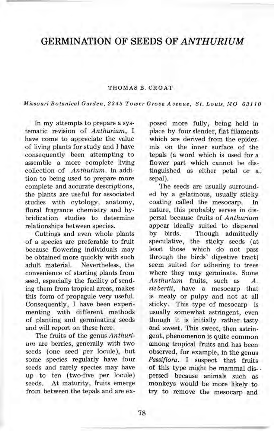## **GERMINATION OF SEEDS OF** *ANTHURIUM*

## THOMAS B. CROAT

*Missouri Botanical Garden,* 2345 *Tower Grove Avenue, St. Louis, MO 63110* 

In my attempts to prepare a systematic revision of *Anthurium,* I have come to appreciate the value of living plants for study and I have consequently been attempting to assemble a more complete living collection of *Anthurium.* In addition to being used to prepare more complete and accurate descriptions, the plants are useful for associated studies with cytology, anatomy, floral fragrance chemistry and hybridization studies to determine relationships between species.

Cuttings and even whole plants of a species are preferable to fruit because flowering individuals may be obtained more quickly with such adult material. Nevertheless, the convenience of starting plants from seed, especially the facility of sending them from tropical areas, makes this form of propagule very useful. Consequently, I have been experimenting with different methods of planting and germinating seeds and will report on these here.

The fruits of the genus *Anthurium* are berries, generally with two seeds (one seed per locule), but some species regularly have four seeds and rarely species may have up to ten (two-five per locule) seeds. At maturity, fruits emerge from between the tepals and are exposed more fully, being held in place by four slender, flat filaments which are derived from the epidermis on the inner surface of the tepals (a word which is used for a flower part which cannot be distinguished as either petal or  $a$ . sepal).

The seeds are usually surrounded by a gelatinous, usually sticky coating called the mesocarp. In nature, this probably serves in dispersal because fruits of *Anthurium*  appear ideally suited to dispersal<br>by birds. Though admittedly by birds. Though admittedly speculative, the sticky seeds (at least those which do not pass through the birds' digestive tract) seem suited for adhering to trees where they may germinate. Some *Anthurium* fruits, such as *A. siebertii,* have a mesocarp that is mealy or. pulpy and not at all sticky. This type of mesocarp is usually somewhat astringent, even though it is initially rather tasty and sweet. This sweet, then astringent, phenomenon is quite common among tropical fruits and has been observed, for example, in the genus *Passiflora.* I suspect that fruits of this type might be mammal dis- . persed because animals such as monkeys would be more likely to try to remove the mesocarp and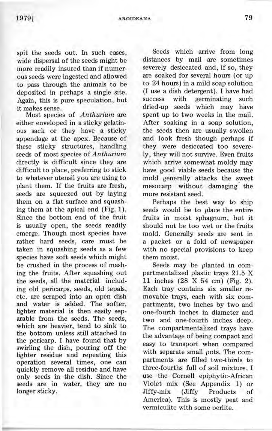spit the seeds out. In such cases, wide dispersal of the seeds might be more readily insured than if numerous seeds were ingested and allowed to pass through the animals to be deposited in perhaps a single site. Again, this is pure speculation, but it makes sense.

Most species of *Anthurium* are either enveloped in a sticky gelatinous sack or they have a sticky appendage at the apex. Because of these sticky structures, handling seeds of most species of *Anthurium*  directly is difficult since they are difficult to place, preferring to stick to whatever utensil you are using to plant them. If the fruits are fresh, seeds are squeezed out by laying them on a flat surface and squashing them at the apical end (Fig. 1). Since the bottom end of the fruit is usually open, the seeds readily emerge. Though most species have rather hard seeds, care must be taken in squashing seeds as a few species have soft seeds which might be crushed in the process of mashing the fruits. After squashing out the seeds, all the material including old pericarps, seeds, old tepals, etc. are scraped into an open dish and water is added. The softer, lighter material is then easily separable from the seeds. The seeds, which are heavier, tend to sink to the bottom unless still attached to the pericarp. I have found that by swirling the dish, pouring off the lighter residue and repeating this operation several times, one can quickly remove all residue and have only seeds in the dish. Since the seeds are in water, they are no longer sticky.

Seeds which arrive from long distances by mail are sometimes severely desiccated and, if so, they are soaked for several hours (or up to 24 hours) in a mild soap solution  $(I$  use a dish detergent). I have had success with germinating such dried-up seeds which may have spent up to two weeks in the mail. After soaking in a soap solution, the seeds then are usually swollen and look fresh though perhaps if they were desiccated too severely, they will not survive. Even fruits which arrive somewhat moldy may have good viable seeds because the mold generally attacks the sweet mesocarp without damaging" the more resistant seed.

Perhaps the best way to ship seeds would be to place the entire fruits in moist sphagnum, but it should not be too wet or the fruits mold. Generally seeds are sent in a packet or a fold of newspaper with no special provisions to keep them moist.

Seeds may be planted in compartmentalized plastic trays 21.5 X 11 inches (28 X 54 cm) (Fig. 2). Each tray contains six smaller removable trays, each with six compartments, two inches by two and one-fourth inches in diameter and two and one-fourth inches deep. The compartmentalized trays have the advantage of being compact and easy to transport when compared with separate small pots. The compartments are filled two-thirds to three-fourths full of soil mixture. I use the Cornell epiphytic-African Violet mix (See Appendix 1) or Jiffy-mix (Jiffy Products of America). This is mostly peat and vermiculite with some oerlite.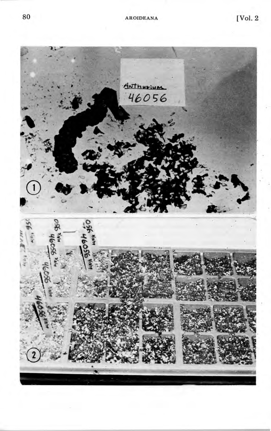